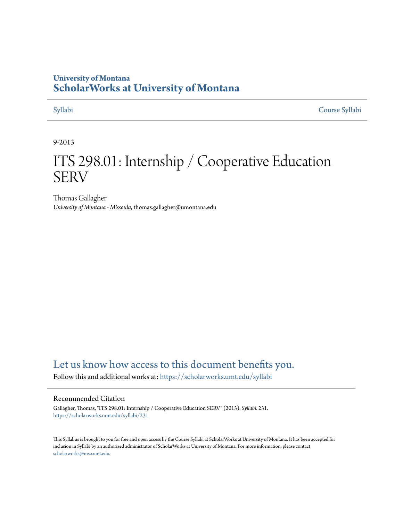## **University of Montana [ScholarWorks at University of Montana](https://scholarworks.umt.edu?utm_source=scholarworks.umt.edu%2Fsyllabi%2F231&utm_medium=PDF&utm_campaign=PDFCoverPages)**

[Syllabi](https://scholarworks.umt.edu/syllabi?utm_source=scholarworks.umt.edu%2Fsyllabi%2F231&utm_medium=PDF&utm_campaign=PDFCoverPages) [Course Syllabi](https://scholarworks.umt.edu/course_syllabi?utm_source=scholarworks.umt.edu%2Fsyllabi%2F231&utm_medium=PDF&utm_campaign=PDFCoverPages)

### 9-2013

# ITS 298.01: Internship / Cooperative Education **SERV**

Thomas Gallagher *University of Montana - Missoula*, thomas.gallagher@umontana.edu

# [Let us know how access to this document benefits you.](https://goo.gl/forms/s2rGfXOLzz71qgsB2)

Follow this and additional works at: [https://scholarworks.umt.edu/syllabi](https://scholarworks.umt.edu/syllabi?utm_source=scholarworks.umt.edu%2Fsyllabi%2F231&utm_medium=PDF&utm_campaign=PDFCoverPages)

#### Recommended Citation

Gallagher, Thomas, "ITS 298.01: Internship / Cooperative Education SERV" (2013). *Syllabi*. 231. [https://scholarworks.umt.edu/syllabi/231](https://scholarworks.umt.edu/syllabi/231?utm_source=scholarworks.umt.edu%2Fsyllabi%2F231&utm_medium=PDF&utm_campaign=PDFCoverPages)

This Syllabus is brought to you for free and open access by the Course Syllabi at ScholarWorks at University of Montana. It has been accepted for inclusion in Syllabi by an authorized administrator of ScholarWorks at University of Montana. For more information, please contact [scholarworks@mso.umt.edu](mailto:scholarworks@mso.umt.edu).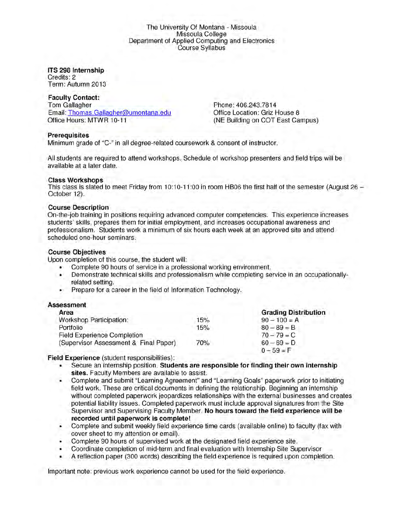#### The University Of Montana - Missoula Missoula College Department of Applied Computing and Electronics Course Syllabus

#### **ITS 298 Internship**

Credits: 2 Term: Autumn 2013

#### **Faculty Contact:**

Tom Gallagher Email: Thomas.Gallaaher@umontana.edu Office Hours: MTWR 10-11

Phone: 406.243.7814 Office Location: Griz House 8 (NE Building on COT East Campus)

#### **Prerequisites**

Minimum grade of "C-" in all degree-related coursework & consent of instructor.

All students are required to attend workshops. Schedule of workshop presenters and field trips will be available at a later date.

#### **Class Workshops**

This class is slated to meet Friday from 10:10-11:00 in room HB06 the first half of the semester (August 26 October 12).

#### **Course Description**

On-the-job training in positions requiring advanced computer competencies. This experience increases students' skills, prepares them for initial employment, and increases occupational awareness and professionalism. Students work a minimum of six hours each week at an approved site and attend scheduled one-hour seminars.

#### **Course Objectives**

Upon completion of this course, the student will:

- Complete 90 hours of service in a professional working environment.
- Demonstrate technical skills and professionalism while completing service in an occupationallyrelated setting.
- Prepare for a career in the field of Information Technology.

#### **Assessment**

| Area                                  |     | <b>Grading Distribution</b> |
|---------------------------------------|-----|-----------------------------|
| Workshop Participation:               | 15% | $90 - 100 = A$              |
| Portfolio                             | 15% | $80 - 89 = B$               |
| <b>Field Experience Completion</b>    |     | $70 - 79 = C$               |
| (Supervisor Assessment & Final Paper) | 70% | $60 - 69 = D$               |
|                                       |     | $0 - 59 = F$                |

**Field Experience** (student responsibilities):

- Secure an internship position. **Students are responsible for finding their own internship** sites. Faculty Members are available to assist.
- Complete and submit "Learning Agreement" and "Learning Goals" paperwork prior to initiating field work. These are critical documents in defining the relationship. Beginning an internship without completed paperwork jeopardizes relationships with the external businesses and creates potential liability issues. Completed paperwork must include approval signatures from the Site Supervisor and Supervising Faculty Member. **No hours toward the field experience will be recorded until paperwork is complete!**
- Complete and submit weekly field experience time cards (available online) to faculty (fax with cover sheet to my attention or email).
- Complete 90 hours of supervised work at the designated field experience site.
- Coordinate completion of mid-term and final evaluation with Internship Site Supervisor
- A reflection paper (300 words) describing the field experience is required upon completion.

Important note: previous work experience cannot be used for the field experience.